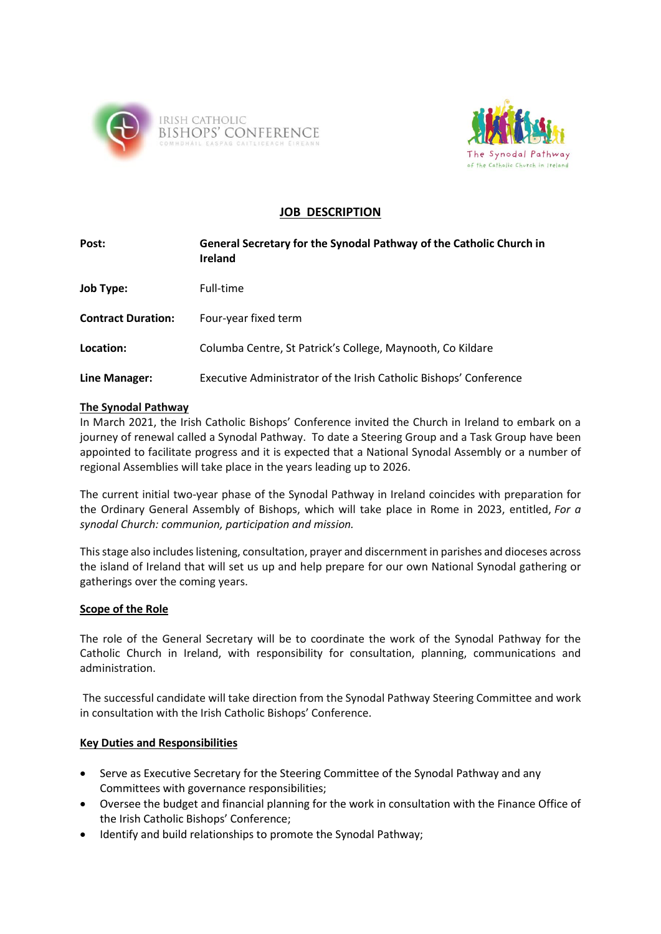



# **JOB DESCRIPTION**

| Post:                     | General Secretary for the Synodal Pathway of the Catholic Church in<br>Ireland |
|---------------------------|--------------------------------------------------------------------------------|
| Job Type:                 | Full-time                                                                      |
| <b>Contract Duration:</b> | Four-year fixed term                                                           |
| Location:                 | Columba Centre, St Patrick's College, Maynooth, Co Kildare                     |
| Line Manager:             | Executive Administrator of the Irish Catholic Bishops' Conference              |

# **The Synodal Pathway**

In March 2021, the Irish Catholic Bishops' Conference invited the Church in Ireland to embark on a journey of renewal called a Synodal Pathway. To date a Steering Group and a Task Group have been appointed to facilitate progress and it is expected that a National Synodal Assembly or a number of regional Assemblies will take place in the years leading up to 2026.

The current initial two-year phase of the Synodal Pathway in Ireland coincides with preparation for the Ordinary General Assembly of Bishops, which will take place in Rome in 2023, entitled, *For a synodal Church: communion, participation and mission.*

This stage also includes listening, consultation, prayer and discernment in parishes and dioceses across the island of Ireland that will set us up and help prepare for our own National Synodal gathering or gatherings over the coming years.

### **Scope of the Role**

The role of the General Secretary will be to coordinate the work of the Synodal Pathway for the Catholic Church in Ireland, with responsibility for consultation, planning, communications and administration.

The successful candidate will take direction from the Synodal Pathway Steering Committee and work in consultation with the Irish Catholic Bishops' Conference.

### **Key Duties and Responsibilities**

- Serve as Executive Secretary for the Steering Committee of the Synodal Pathway and any Committees with governance responsibilities;
- Oversee the budget and financial planning for the work in consultation with the Finance Office of the Irish Catholic Bishops' Conference;
- Identify and build relationships to promote the Synodal Pathway;